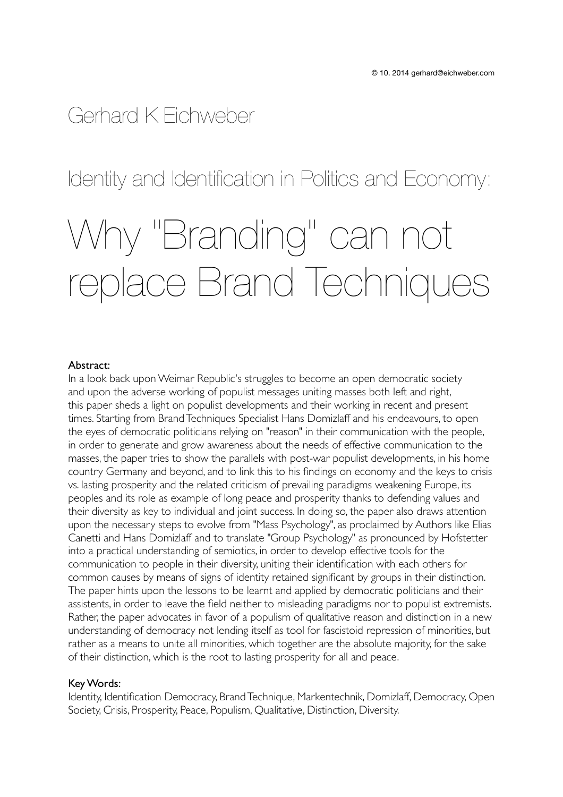## Gerhard K Eichweber

### Identity and Identification in Politics and Economy:

# Why "Branding" can not replace Brand Techniques

#### Abstract:

In a look back upon Weimar Republic's struggles to become an open democratic society and upon the adverse working of populist messages uniting masses both left and right, this paper sheds a light on populist developments and their working in recent and present times. Starting from Brand Techniques Specialist Hans Domizlaff and his endeavours, to open the eyes of democratic politicians relying on "reason" in their communication with the people, in order to generate and grow awareness about the needs of effective communication to the masses, the paper tries to show the parallels with post-war populist developments, in his home country Germany and beyond, and to link this to his findings on economy and the keys to crisis vs. lasting prosperity and the related criticism of prevailing paradigms weakening Europe, its peoples and its role as example of long peace and prosperity thanks to defending values and their diversity as key to individual and joint success. In doing so, the paper also draws attention upon the necessary steps to evolve from "Mass Psychology", as proclaimed by Authors like Elias Canetti and Hans Domizlaff and to translate "Group Psychology" as pronounced by Hofstetter into a practical understanding of semiotics, in order to develop effective tools for the communication to people in their diversity, uniting their identification with each others for common causes by means of signs of identity retained significant by groups in their distinction. The paper hints upon the lessons to be learnt and applied by democratic politicians and their assistents, in order to leave the field neither to misleading paradigms nor to populist extremists. Rather, the paper advocates in favor of a populism of qualitative reason and distinction in a new understanding of democracy not lending itself as tool for fascistoid repression of minorities, but rather as a means to unite all minorities, which together are the absolute majority, for the sake of their distinction, which is the root to lasting prosperity for all and peace.

#### Key Words:

Identity, Identification Democracy, Brand Technique, Markentechnik, Domizlaff, Democracy, Open Society, Crisis, Prosperity, Peace, Populism, Qualitative, Distinction, Diversity.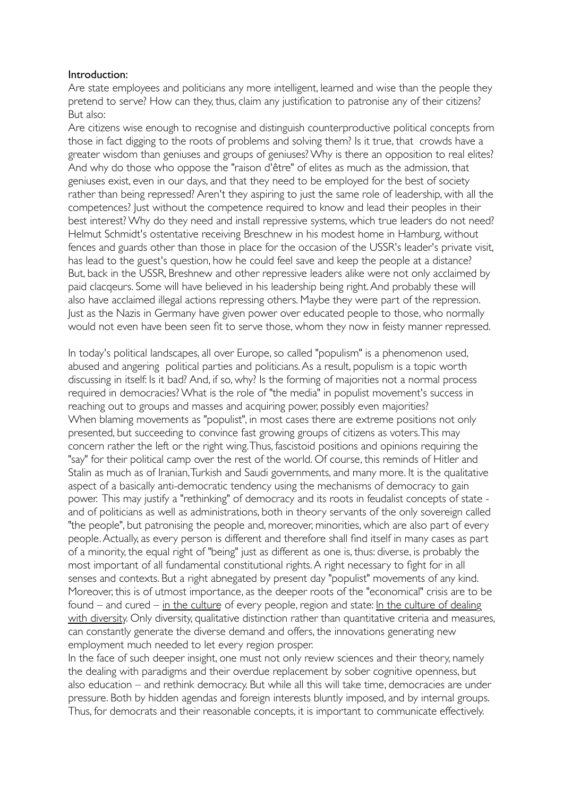#### Introduction:

Are state employees and politicians any more intelligent, learned and wise than the people they pretend to serve? How can they, thus, claim any justification to patronise any of their citizens? But also:

Are citizens wise enough to recognise and distinguish counterproductive political concepts from those in fact digging to the roots of problems and solving them? Is it true, that crowds have a greater wisdom than geniuses and groups of geniuses? Why is there an opposition to real elites? And why do those who oppose the "raison d'être" of elites as much as the admission, that geniuses exist, even in our days, and that they need to be employed for the best of society rather than being repressed? Aren't they aspiring to just the same role of leadership, with all the competences? Just without the competence required to know and lead their peoples in their best interest? Why do they need and install repressive systems, which true leaders do not need? Helmut Schmidt's ostentative receiving Breschnew in his modest home in Hamburg, without fences and guards other than those in place for the occasion of the USSR's leader's private visit, has lead to the guest's question, how he could feel save and keep the people at a distance? But, back in the USSR, Breshnew and other repressive leaders alike were not only acclaimed by paid clacqeurs. Some will have believed in his leadership being right. And probably these will also have acclaimed illegal actions repressing others. Maybe they were part of the repression. Just as the Nazis in Germany have given power over educated people to those, who normally would not even have been seen fit to serve those, whom they now in feisty manner repressed.

In today's political landscapes, all over Europe, so called "populism" is a phenomenon used, abused and angering political parties and politicians. As a result, populism is a topic worth discussing in itself: Is it bad? And, if so, why? Is the forming of majorities not a normal process required in democracies? What is the role of "the media" in populist movement's success in reaching out to groups and masses and acquiring power, possibly even majorities? When blaming movements as "populist", in most cases there are extreme positions not only presented, but succeeding to convince fast growing groups of citizens as voters. This may concern rather the left or the right wing. Thus, fascistoid positions and opinions requiring the "say" for their political camp over the rest of the world. Of course, this reminds of Hitler and Stalin as much as of Iranian, Turkish and Saudi governments, and many more. It is the qualitative aspect of a basically anti-democratic tendency using the mechanisms of democracy to gain power. This may justify a "rethinking" of democracy and its roots in feudalist concepts of state and of politicians as well as administrations, both in theory servants of the only sovereign called "the people", but patronising the people and, moreover, minorities, which are also part of every people. Actually, as every person is different and therefore shall find itself in many cases as part of a minority, the equal right of "being" just as different as one is, thus: diverse, is probably the most important of all fundamental constitutional rights. A right necessary to fight for in all senses and contexts. But a right abnegated by present day "populist" movements of any kind. Moreover, this is of utmost importance, as the deeper roots of the "economical" crisis are to be found – and cured – in the culture of every people, region and state: In the culture of dealing with diversity. Only diversity, qualitative distinction rather than quantitative criteria and measures, can constantly generate the diverse demand and offers, the innovations generating new employment much needed to let every region prosper.

In the face of such deeper insight, one must not only review sciences and their theory, namely the dealing with paradigms and their overdue replacement by sober cognitive openness, but also education – and rethink democracy. But while all this will take time, democracies are under pressure. Both by hidden agendas and foreign interests bluntly imposed, and by internal groups. Thus, for democrats and their reasonable concepts, it is important to communicate effectively.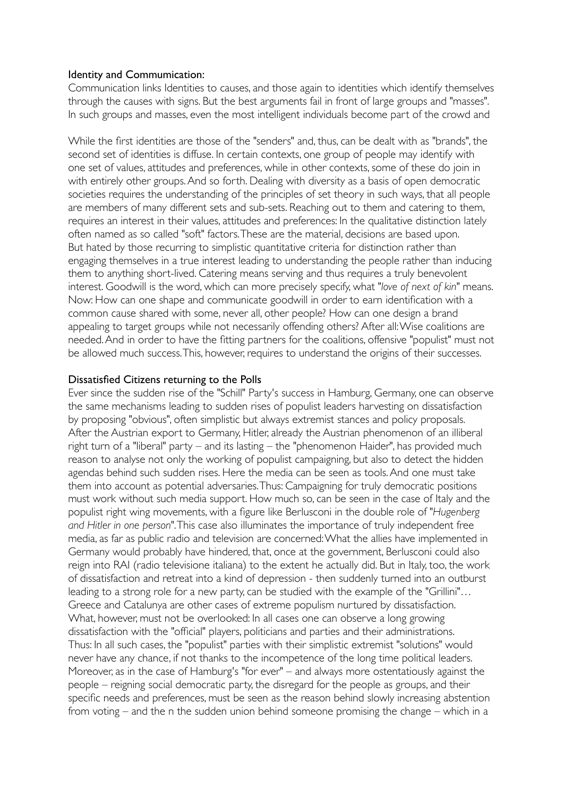#### Identity and Commumication:

Communication links Identities to causes, and those again to identities which identify themselves through the causes with signs. But the best arguments fail in front of large groups and "masses". In such groups and masses, even the most intelligent individuals become part of the crowd and

While the first identities are those of the "senders" and, thus, can be dealt with as "brands", the second set of identities is diffuse. In certain contexts, one group of people may identify with one set of values, attitudes and preferences, while in other contexts, some of these do join in with entirely other groups. And so forth. Dealing with diversity as a basis of open democratic societies requires the understanding of the principles of set theory in such ways, that all people are members of many different sets and sub-sets. Reaching out to them and catering to them, requires an interest in their values, attitudes and preferences: In the qualitative distinction lately often named as so called "soft" factors. These are the material, decisions are based upon. But hated by those recurring to simplistic quantitative criteria for distinction rather than engaging themselves in a true interest leading to understanding the people rather than inducing them to anything short-lived. Catering means serving and thus requires a truly benevolent interest. Goodwill is the word, which can more precisely specify, what "*love of next of kin"* means. Now: How can one shape and communicate goodwill in order to earn identification with a common cause shared with some, never all, other people? How can one design a brand appealing to target groups while not necessarily offending others? After all: Wise coalitions are needed. And in order to have the fitting partners for the coalitions, offensive "populist" must not be allowed much success. This, however, requires to understand the origins of their successes.

#### Dissatisfied Citizens returning to the Polls

Ever since the sudden rise of the "Schill" Party's success in Hamburg, Germany, one can observe the same mechanisms leading to sudden rises of populist leaders harvesting on dissatisfaction by proposing "obvious", often simplistic but always extremist stances and policy proposals. After the Austrian export to Germany, Hitler, already the Austrian phenomenon of an illiberal right turn of a "liberal" party – and its lasting – the "phenomenon Haider", has provided much reason to analyse not only the working of populist campaigning, but also to detect the hidden agendas behind such sudden rises. Here the media can be seen as tools. And one must take them into account as potential adversaries. Thus: Campaigning for truly democratic positions must work without such media support. How much so, can be seen in the case of Italy and the populist right wing movements, with a figure like Berlusconi in the double role of "*Hugenberg and Hitler in one person*". This case also illuminates the importance of truly independent free media, as far as public radio and television are concerned: What the allies have implemented in Germany would probably have hindered, that, once at the government, Berlusconi could also reign into RAI (radio televisione italiana) to the extent he actually did. But in Italy, too, the work of dissatisfaction and retreat into a kind of depression - then suddenly turned into an outburst leading to a strong role for a new party, can be studied with the example of the "Grillini"… Greece and Catalunya are other cases of extreme populism nurtured by dissatisfaction. What, however, must not be overlooked: In all cases one can observe a long growing dissatisfaction with the "official" players, politicians and parties and their administrations. Thus: In all such cases, the "populist" parties with their simplistic extremist "solutions" would never have any chance, if not thanks to the incompetence of the long time political leaders. Moreover, as in the case of Hamburg's "for ever" – and always more ostentatiously against the people – reigning social democratic party, the disregard for the people as groups, and their specific needs and preferences, must be seen as the reason behind slowly increasing abstention from voting – and the n the sudden union behind someone promising the change – which in a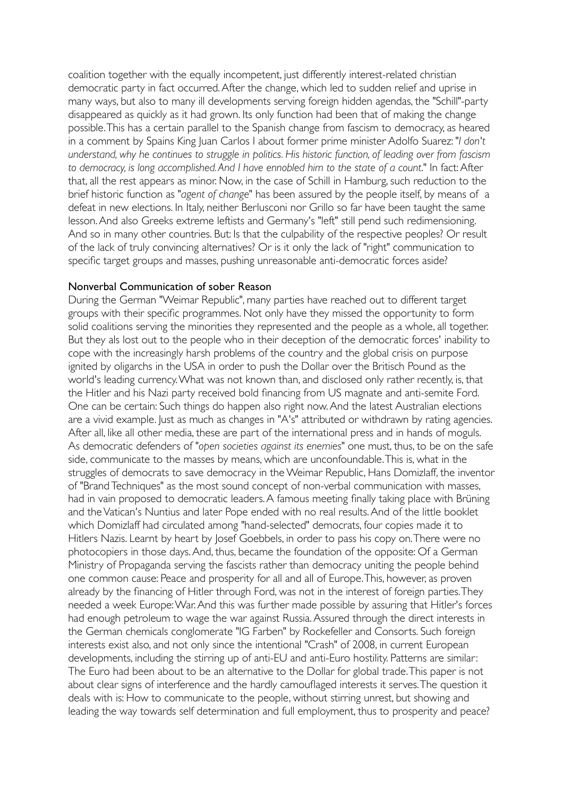coalition together with the equally incompetent, just differently interest-related christian democratic party in fact occurred. After the change, which led to sudden relief and uprise in many ways, but also to many ill developments serving foreign hidden agendas, the "Schill"-party disappeared as quickly as it had grown. Its only function had been that of making the change possible. This has a certain parallel to the Spanish change from fascism to democracy, as heared in a comment by Spains King Juan Carlos I about former prime minister Adolfo Suarez: "*I don't understand, why he continues to struggle in politics. His historic function, of leading over from fascism to democracy, is long accomplished. And I have ennobled him to the state of a count*." In fact: After that, all the rest appears as minor. Now, in the case of Schill in Hamburg, such reduction to the brief historic function as "*agent of change*" has been assured by the people itself, by means of a defeat in new elections. In Italy, neither Berlusconi nor Grillo so far have been taught the same lesson. And also Greeks extreme leftists and Germany's "left" still pend such redimensioning. And so in many other countries. But: Is that the culpability of the respective peoples? Or result of the lack of truly convincing alternatives? Or is it only the lack of "right" communication to specific target groups and masses, pushing unreasonable anti-democratic forces aside?

#### Nonverbal Communication of sober Reason

During the German "Weimar Republic", many parties have reached out to different target groups with their specific programmes. Not only have they missed the opportunity to form solid coalitions serving the minorities they represented and the people as a whole, all together. But they als lost out to the people who in their deception of the democratic forces' inability to cope with the increasingly harsh problems of the country and the global crisis on purpose ignited by oligarchs in the USA in order to push the Dollar over the Britisch Pound as the world's leading currency. What was not known than, and disclosed only rather recently, is, that the Hitler and his Nazi party received bold financing from US magnate and anti-semite Ford. One can be certain: Such things do happen also right now. And the latest Australian elections are a vivid example. Just as much as changes in "A's" attributed or withdrawn by rating agencies. After all, like all other media, these are part of the international press and in hands of moguls. As democratic defenders of "*open societies against its enemies*" one must, thus, to be on the safe side, communicate to the masses by means, which are unconfoundable. This is, what in the struggles of democrats to save democracy in the Weimar Republic, Hans Domizlaff, the inventor of "Brand Techniques" as the most sound concept of non-verbal communication with masses, had in vain proposed to democratic leaders. A famous meeting finally taking place with Brüning and the Vatican's Nuntius and later Pope ended with no real results. And of the little booklet which Domizlaff had circulated among "hand-selected" democrats, four copies made it to Hitlers Nazis. Learnt by heart by Josef Goebbels, in order to pass his copy on. There were no photocopiers in those days. And, thus, became the foundation of the opposite: Of a German Ministry of Propaganda serving the fascists rather than democracy uniting the people behind one common cause: Peace and prosperity for all and all of Europe. This, however, as proven already by the financing of Hitler through Ford, was not in the interest of foreign parties. They needed a week Europe: War. And this was further made possible by assuring that Hitler's forces had enough petroleum to wage the war against Russia. Assured through the direct interests in the German chemicals conglomerate "IG Farben" by Rockefeller and Consorts. Such foreign interests exist also, and not only since the intentional "Crash" of 2008, in current European developments, including the stirring up of anti-EU and anti-Euro hostility. Patterns are similar: The Euro had been about to be an alternative to the Dollar for global trade. This paper is not about clear signs of interference and the hardly camouflaged interests it serves. The question it deals with is: How to communicate to the people, without stirring unrest, but showing and leading the way towards self determination and full employment, thus to prosperity and peace?